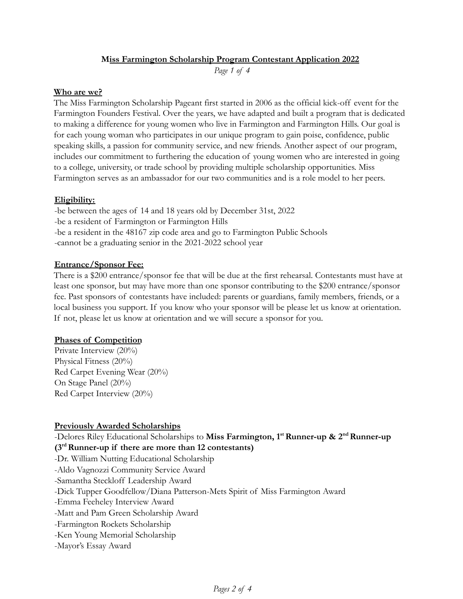## **Miss Farmington Scholarship Program Contestant Application 2022**

*Page 1 of 4*

#### **Who are we?**

The Miss Farmington Scholarship Pageant first started in 2006 as the official kick-off event for the Farmington Founders Festival. Over the years, we have adapted and built a program that is dedicated to making a difference for young women who live in Farmington and Farmington Hills. Our goal is for each young woman who participates in our unique program to gain poise, confidence, public speaking skills, a passion for community service, and new friends. Another aspect of our program, includes our commitment to furthering the education of young women who are interested in going to a college, university, or trade school by providing multiple scholarship opportunities. Miss Farmington serves as an ambassador for our two communities and is a role model to her peers.

### **Eligibility:**

-be between the ages of 14 and 18 years old by December 31st, 2022 -be a resident of Farmington or Farmington Hills -be a resident in the 48167 zip code area and go to Farmington Public Schools -cannot be a graduating senior in the 2021-2022 school year

#### **Entrance/Sponsor Fee:**

There is a \$200 entrance/sponsor fee that will be due at the first rehearsal. Contestants must have at least one sponsor, but may have more than one sponsor contributing to the \$200 entrance/sponsor fee. Past sponsors of contestants have included: parents or guardians, family members, friends, or a local business you support. If you know who your sponsor will be please let us know at orientation. If not, please let us know at orientation and we will secure a sponsor for you.

#### **Phases of Competition**

Private Interview (20%) Physical Fitness (20%) Red Carpet Evening Wear (20%) On Stage Panel (20%) Red Carpet Interview (20%)

### **Previously Awarded Scholarships**

-Delores Riley Educational Scholarships to **Miss Farmington, 1 stRunner-up & 2 ndRunner-up (3 rdRunner-up if there are more than 12 contestants)** -Dr. William Nutting Educational Scholarship -Aldo Vagnozzi Community Service Award -Samantha Steckloff Leadership Award -Dick Tupper Goodfellow/Diana Patterson-Mets Spirit of Miss Farmington Award -Emma Feeheley Interview Award -Matt and Pam Green Scholarship Award -Farmington Rockets Scholarship -Ken Young Memorial Scholarship -Mayor's Essay Award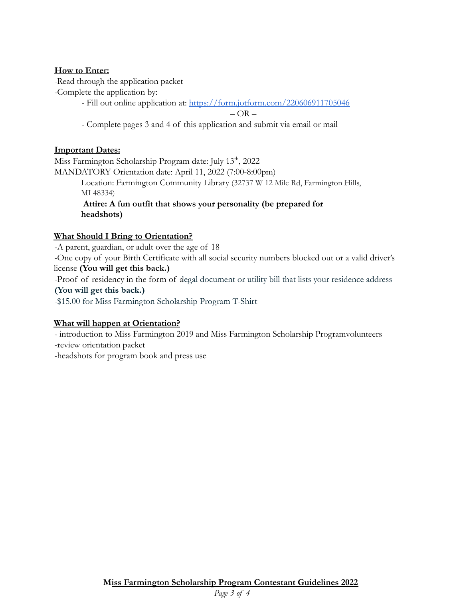## **How to Enter:**

-Read through the application packet

-Complete the application by:

- Fill out online application at: <https://form.jotform.com/220606911705046>

 $-OR -$ 

- Complete pages 3 and 4 of this application and submit via email or mail

# **Important Dates:**

Miss Farmington Scholarship Program date: July 13<sup>th</sup>, 2022 MANDATORY Orientation date: April 11, 2022 (7:00-8:00pm) Location: Farmington Community Library (32737 W 12 Mile Rd, Farmington Hills, MI 48334) **Attire: A fun outfit that shows your personality (be prepared for headshots)**

# **What Should I Bring to Orientation?**

-A parent, guardian, or adult over the age of 18 -One copy of your Birth Certificate with all social security numbers blocked out or a valid driver's license **(You will get this back.)** -Proof of residency in the form of alegal document or utility bill that lists your residence address **(You will get this back.)** -\$15.00 for Miss Farmington Scholarship Program T-Shirt

# **What will happen at Orientation?**

- introduction to Miss Farmington 2019 and Miss Farmington Scholarship Programvolunteers -review orientation packet

-headshots for program book and press use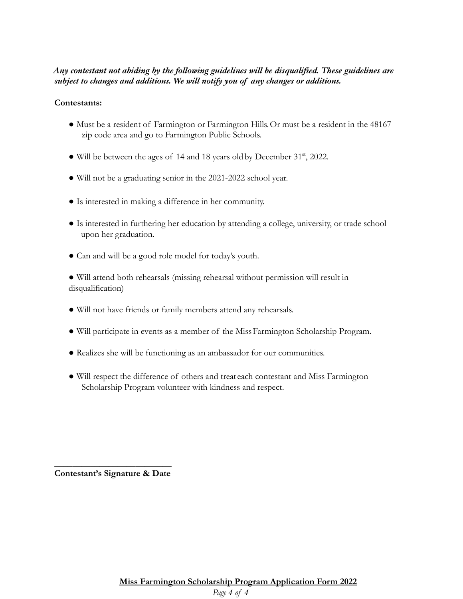# *Any contestant not abiding by the following guidelines will be disqualified. These guidelines are subject to changes and additions. We will notify you of any changes or additions.*

## **Contestants:**

- Must be a resident of Farmington or Farmington Hills.Or must be a resident in the 48167 zip code area and go to Farmington Public Schools.
- Will be between the ages of 14 and 18 years old by December 31<sup>st</sup>, 2022.
- Will not be a graduating senior in the 2021-2022 school year.
- Is interested in making a difference in her community.
- Is interested in furthering her education by attending a college, university, or trade school upon her graduation.
- Can and will be a good role model for today's youth.

● Will attend both rehearsals (missing rehearsal without permission will result in disqualification)

- Will not have friends or family members attend any rehearsals.
- Will participate in events as a member of the MissFarmington Scholarship Program.
- Realizes she will be functioning as an ambassador for our communities.
- Will respect the difference of others and treat each contestant and Miss Farmington Scholarship Program volunteer with kindness and respect.

**\_\_\_\_\_\_\_\_\_\_\_\_\_\_\_\_\_\_\_\_\_\_\_\_\_\_ Contestant's Signature & Date**